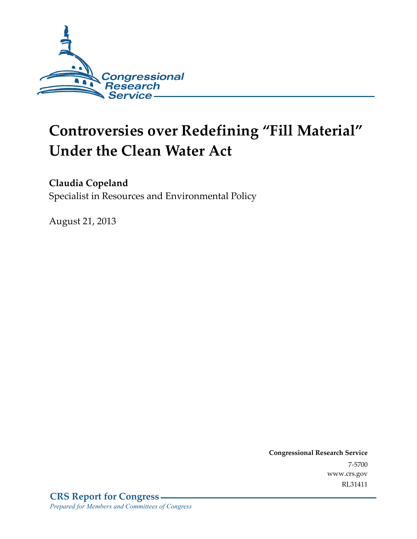

# **Controversies over Redefining "Fill Material" Under the Clean Water Act**

**Claudia Copeland** 

Specialist in Resources and Environmental Policy

August 21, 2013

**Congressional Research Service**  7-5700 www.crs.gov RL31411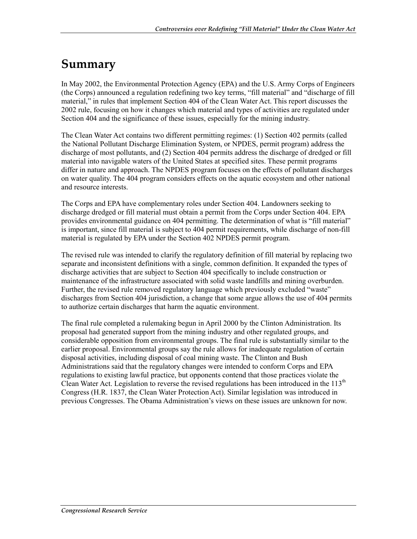### **Summary**

In May 2002, the Environmental Protection Agency (EPA) and the U.S. Army Corps of Engineers (the Corps) announced a regulation redefining two key terms, "fill material" and "discharge of fill material," in rules that implement Section 404 of the Clean Water Act. This report discusses the 2002 rule, focusing on how it changes which material and types of activities are regulated under Section 404 and the significance of these issues, especially for the mining industry.

The Clean Water Act contains two different permitting regimes: (1) Section 402 permits (called the National Pollutant Discharge Elimination System, or NPDES, permit program) address the discharge of most pollutants, and (2) Section 404 permits address the discharge of dredged or fill material into navigable waters of the United States at specified sites. These permit programs differ in nature and approach. The NPDES program focuses on the effects of pollutant discharges on water quality. The 404 program considers effects on the aquatic ecosystem and other national and resource interests.

The Corps and EPA have complementary roles under Section 404. Landowners seeking to discharge dredged or fill material must obtain a permit from the Corps under Section 404. EPA provides environmental guidance on 404 permitting. The determination of what is "fill material" is important, since fill material is subject to 404 permit requirements, while discharge of non-fill material is regulated by EPA under the Section 402 NPDES permit program.

The revised rule was intended to clarify the regulatory definition of fill material by replacing two separate and inconsistent definitions with a single, common definition. It expanded the types of discharge activities that are subject to Section 404 specifically to include construction or maintenance of the infrastructure associated with solid waste landfills and mining overburden. Further, the revised rule removed regulatory language which previously excluded "waste" discharges from Section 404 jurisdiction, a change that some argue allows the use of 404 permits to authorize certain discharges that harm the aquatic environment.

The final rule completed a rulemaking begun in April 2000 by the Clinton Administration. Its proposal had generated support from the mining industry and other regulated groups, and considerable opposition from environmental groups. The final rule is substantially similar to the earlier proposal. Environmental groups say the rule allows for inadequate regulation of certain disposal activities, including disposal of coal mining waste. The Clinton and Bush Administrations said that the regulatory changes were intended to conform Corps and EPA regulations to existing lawful practice, but opponents contend that those practices violate the Clean Water Act. Legislation to reverse the revised regulations has been introduced in the 113<sup>th</sup> Congress (H.R. 1837, the Clean Water Protection Act). Similar legislation was introduced in previous Congresses. The Obama Administration's views on these issues are unknown for now.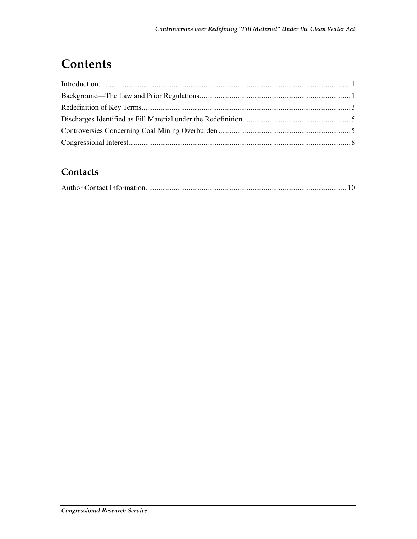# **Contents**

#### **Contacts**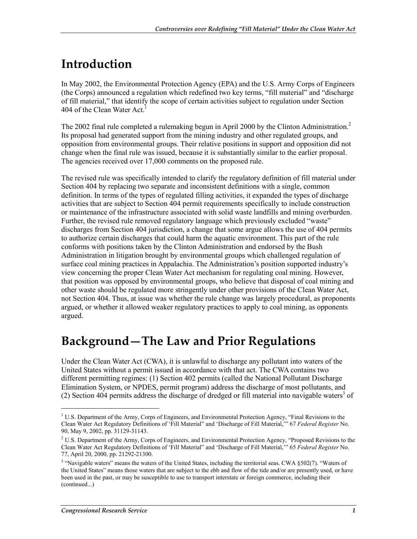# **Introduction**

In May 2002, the Environmental Protection Agency (EPA) and the U.S. Army Corps of Engineers (the Corps) announced a regulation which redefined two key terms, "fill material" and "discharge of fill material," that identify the scope of certain activities subject to regulation under Section 404 of the Clean Water  $Act<sup>1</sup>$ 

The 2002 final rule completed a rulemaking begun in April 2000 by the Clinton Administration.<sup>2</sup> Its proposal had generated support from the mining industry and other regulated groups, and opposition from environmental groups. Their relative positions in support and opposition did not change when the final rule was issued, because it is substantially similar to the earlier proposal. The agencies received over 17,000 comments on the proposed rule.

The revised rule was specifically intended to clarify the regulatory definition of fill material under Section 404 by replacing two separate and inconsistent definitions with a single, common definition. In terms of the types of regulated filling activities, it expanded the types of discharge activities that are subject to Section 404 permit requirements specifically to include construction or maintenance of the infrastructure associated with solid waste landfills and mining overburden. Further, the revised rule removed regulatory language which previously excluded "waste" discharges from Section 404 jurisdiction, a change that some argue allows the use of 404 permits to authorize certain discharges that could harm the aquatic environment. This part of the rule conforms with positions taken by the Clinton Administration and endorsed by the Bush Administration in litigation brought by environmental groups which challenged regulation of surface coal mining practices in Appalachia. The Administration's position supported industry's view concerning the proper Clean Water Act mechanism for regulating coal mining. However, that position was opposed by environmental groups, who believe that disposal of coal mining and other waste should be regulated more stringently under other provisions of the Clean Water Act, not Section 404. Thus, at issue was whether the rule change was largely procedural, as proponents argued, or whether it allowed weaker regulatory practices to apply to coal mining, as opponents argued.

### **Background—The Law and Prior Regulations**

Under the Clean Water Act (CWA), it is unlawful to discharge any pollutant into waters of the United States without a permit issued in accordance with that act. The CWA contains two different permitting regimes: (1) Section 402 permits (called the National Pollutant Discharge Elimination System, or NPDES, permit program) address the discharge of most pollutants, and  $(2)$  Section 404 permits address the discharge of dredged or fill material into navigable waters<sup>3</sup> of

 $\overline{\phantom{a}}$ 

<sup>&</sup>lt;sup>1</sup> U.S. Department of the Army, Corps of Engineers, and Environmental Protection Agency, "Final Revisions to the Clean Water Act Regulatory Definitions of 'Fill Material" and 'Discharge of Fill Material,'" 67 *Federal Register* No. 90, May 9, 2002, pp. 31129-31143.

<sup>&</sup>lt;sup>2</sup> U.S. Department of the Army, Corps of Engineers, and Environmental Protection Agency, "Proposed Revisions to the Clean Water Act Regulatory Definitions of 'Fill Material" and 'Discharge of Fill Material,'" 65 *Federal Register* No. 77, April 20, 2000, pp. 21292-21300.

<sup>&</sup>lt;sup>3</sup> "Navigable waters" means the waters of the United States, including the territorial seas. CWA §502(7). "Waters of the United States" means those waters that are subject to the ebb and flow of the tide and/or are presently used, or have been used in the past, or may be susceptible to use to transport interstate or foreign commerce, including their (continued...)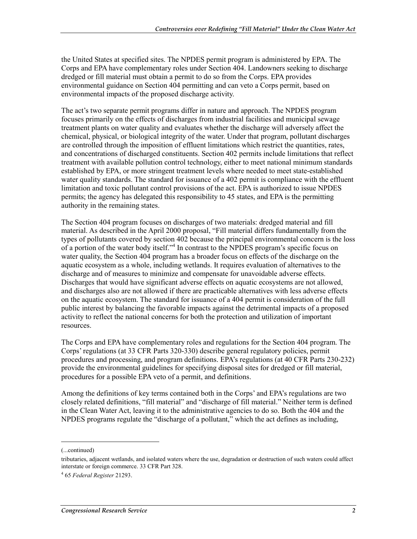the United States at specified sites. The NPDES permit program is administered by EPA. The Corps and EPA have complementary roles under Section 404. Landowners seeking to discharge dredged or fill material must obtain a permit to do so from the Corps. EPA provides environmental guidance on Section 404 permitting and can veto a Corps permit, based on environmental impacts of the proposed discharge activity.

The act's two separate permit programs differ in nature and approach. The NPDES program focuses primarily on the effects of discharges from industrial facilities and municipal sewage treatment plants on water quality and evaluates whether the discharge will adversely affect the chemical, physical, or biological integrity of the water. Under that program, pollutant discharges are controlled through the imposition of effluent limitations which restrict the quantities, rates, and concentrations of discharged constituents. Section 402 permits include limitations that reflect treatment with available pollution control technology, either to meet national minimum standards established by EPA, or more stringent treatment levels where needed to meet state-established water quality standards. The standard for issuance of a 402 permit is compliance with the effluent limitation and toxic pollutant control provisions of the act. EPA is authorized to issue NPDES permits; the agency has delegated this responsibility to 45 states, and EPA is the permitting authority in the remaining states.

The Section 404 program focuses on discharges of two materials: dredged material and fill material. As described in the April 2000 proposal, "Fill material differs fundamentally from the types of pollutants covered by section 402 because the principal environmental concern is the loss of a portion of the water body itself."<sup>4</sup> In contrast to the NPDES program's specific focus on water quality, the Section 404 program has a broader focus on effects of the discharge on the aquatic ecosystem as a whole, including wetlands. It requires evaluation of alternatives to the discharge and of measures to minimize and compensate for unavoidable adverse effects. Discharges that would have significant adverse effects on aquatic ecosystems are not allowed, and discharges also are not allowed if there are practicable alternatives with less adverse effects on the aquatic ecosystem. The standard for issuance of a 404 permit is consideration of the full public interest by balancing the favorable impacts against the detrimental impacts of a proposed activity to reflect the national concerns for both the protection and utilization of important resources.

The Corps and EPA have complementary roles and regulations for the Section 404 program. The Corps' regulations (at 33 CFR Parts 320-330) describe general regulatory policies, permit procedures and processing, and program definitions. EPA's regulations (at 40 CFR Parts 230-232) provide the environmental guidelines for specifying disposal sites for dredged or fill material, procedures for a possible EPA veto of a permit, and definitions.

Among the definitions of key terms contained both in the Corps' and EPA's regulations are two closely related definitions, "fill material" and "discharge of fill material." Neither term is defined in the Clean Water Act, leaving it to the administrative agencies to do so. Both the 404 and the NPDES programs regulate the "discharge of a pollutant," which the act defines as including,

<sup>(...</sup>continued)

tributaries, adjacent wetlands, and isolated waters where the use, degradation or destruction of such waters could affect interstate or foreign commerce. 33 CFR Part 328.

<sup>4</sup> 65 *Federal Register* 21293.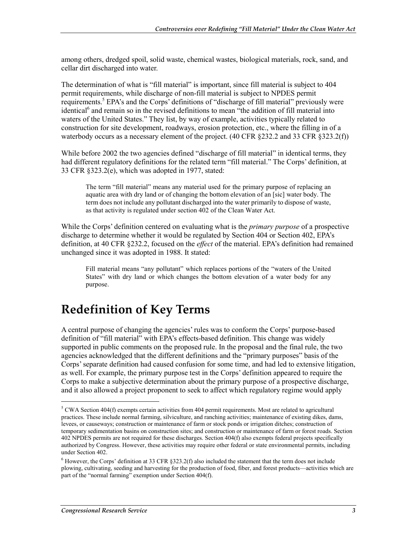among others, dredged spoil, solid waste, chemical wastes, biological materials, rock, sand, and cellar dirt discharged into water.

The determination of what is "fill material" is important, since fill material is subject to 404 permit requirements, while discharge of non-fill material is subject to NPDES permit requirements.<sup>5</sup> EPA's and the Corps' definitions of "discharge of fill material" previously were identical<sup>6</sup> and remain so in the revised definitions to mean "the addition of fill material into waters of the United States." They list, by way of example, activities typically related to construction for site development, roadways, erosion protection, etc., where the filling in of a waterbody occurs as a necessary element of the project. (40 CFR  $\S 232.2$  and 33 CFR  $\S 323.2(f)$ )

While before 2002 the two agencies defined "discharge of fill material" in identical terms, they had different regulatory definitions for the related term "fill material." The Corps' definition, at 33 CFR §323.2(e), which was adopted in 1977, stated:

The term "fill material" means any material used for the primary purpose of replacing an aquatic area with dry land or of changing the bottom elevation of an [sic] water body. The term does not include any pollutant discharged into the water primarily to dispose of waste, as that activity is regulated under section 402 of the Clean Water Act.

While the Corps' definition centered on evaluating what is the *primary purpose* of a prospective discharge to determine whether it would be regulated by Section 404 or Section 402, EPA's definition, at 40 CFR §232.2, focused on the *effect* of the material. EPA's definition had remained unchanged since it was adopted in 1988. It stated:

Fill material means "any pollutant" which replaces portions of the "waters of the United States" with dry land or which changes the bottom elevation of a water body for any purpose.

### **Redefinition of Key Terms**

A central purpose of changing the agencies' rules was to conform the Corps' purpose-based definition of "fill material" with EPA's effects-based definition. This change was widely supported in public comments on the proposed rule. In the proposal and the final rule, the two agencies acknowledged that the different definitions and the "primary purposes" basis of the Corps' separate definition had caused confusion for some time, and had led to extensive litigation, as well. For example, the primary purpose test in the Corps' definition appeared to require the Corps to make a subjective determination about the primary purpose of a prospective discharge, and it also allowed a project proponent to seek to affect which regulatory regime would apply

 $5 \text{ CWA Section } 404(f)$  exempts certain activities from 404 permit requirements. Most are related to agricultural practices. These include normal farming, silviculture, and ranching activities; maintenance of existing dikes, dams, levees, or causeways; construction or maintenance of farm or stock ponds or irrigation ditches; construction of temporary sedimentation basins on construction sites; and construction or maintenance of farm or forest roads. Section 402 NPDES permits are not required for these discharges. Section 404(f) also exempts federal projects specifically authorized by Congress. However, these activities may require other federal or state environmental permits, including under Section 402.

 $6$  However, the Corps' definition at 33 CFR §323.2(f) also included the statement that the term does not include plowing, cultivating, seeding and harvesting for the production of food, fiber, and forest products—activities which are part of the "normal farming" exemption under Section 404(f).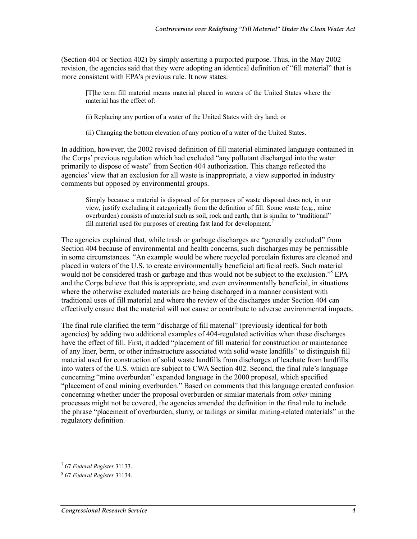(Section 404 or Section 402) by simply asserting a purported purpose. Thus, in the May 2002 revision, the agencies said that they were adopting an identical definition of "fill material" that is more consistent with EPA's previous rule. It now states:

[T]he term fill material means material placed in waters of the United States where the material has the effect of:

(i) Replacing any portion of a water of the United States with dry land; or

(ii) Changing the bottom elevation of any portion of a water of the United States.

In addition, however, the 2002 revised definition of fill material eliminated language contained in the Corps' previous regulation which had excluded "any pollutant discharged into the water primarily to dispose of waste" from Section 404 authorization. This change reflected the agencies' view that an exclusion for all waste is inappropriate, a view supported in industry comments but opposed by environmental groups.

Simply because a material is disposed of for purposes of waste disposal does not, in our view, justify excluding it categorically from the definition of fill. Some waste (e.g., mine overburden) consists of material such as soil, rock and earth, that is similar to "traditional" fill material used for purposes of creating fast land for development.<sup>7</sup>

The agencies explained that, while trash or garbage discharges are "generally excluded" from Section 404 because of environmental and health concerns, such discharges may be permissible in some circumstances. "An example would be where recycled porcelain fixtures are cleaned and placed in waters of the U.S. to create environmentally beneficial artificial reefs. Such material would not be considered trash or garbage and thus would not be subject to the exclusion."<sup>8</sup> EPA and the Corps believe that this is appropriate, and even environmentally beneficial, in situations where the otherwise excluded materials are being discharged in a manner consistent with traditional uses of fill material and where the review of the discharges under Section 404 can effectively ensure that the material will not cause or contribute to adverse environmental impacts.

The final rule clarified the term "discharge of fill material" (previously identical for both agencies) by adding two additional examples of 404-regulated activities when these discharges have the effect of fill. First, it added "placement of fill material for construction or maintenance of any liner, berm, or other infrastructure associated with solid waste landfills" to distinguish fill material used for construction of solid waste landfills from discharges of leachate from landfills into waters of the U.S. which are subject to CWA Section 402. Second, the final rule's language concerning "mine overburden" expanded language in the 2000 proposal, which specified "placement of coal mining overburden." Based on comments that this language created confusion concerning whether under the proposal overburden or similar materials from *other* mining processes might not be covered, the agencies amended the definition in the final rule to include the phrase "placement of overburden, slurry, or tailings or similar mining-related materials" in the regulatory definition.

<sup>7</sup> 67 *Federal Register* 31133.

<sup>8</sup> 67 *Federal Register* 31134.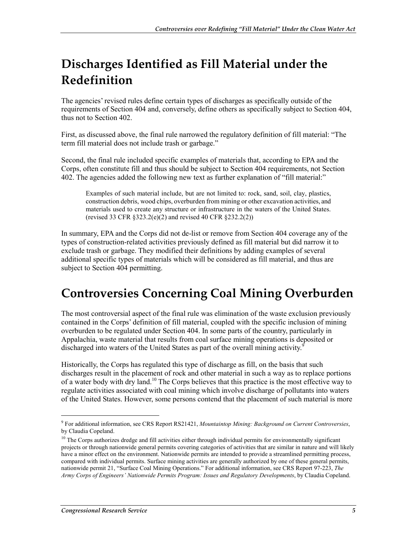# **Discharges Identified as Fill Material under the Redefinition**

The agencies' revised rules define certain types of discharges as specifically outside of the requirements of Section 404 and, conversely, define others as specifically subject to Section 404, thus not to Section 402.

First, as discussed above, the final rule narrowed the regulatory definition of fill material: "The term fill material does not include trash or garbage."

Second, the final rule included specific examples of materials that, according to EPA and the Corps, often constitute fill and thus should be subject to Section 404 requirements, not Section 402. The agencies added the following new text as further explanation of "fill material:"

Examples of such material include, but are not limited to: rock, sand, soil, clay, plastics, construction debris, wood chips, overburden from mining or other excavation activities, and materials used to create any structure or infrastructure in the waters of the United States. (revised 33 CFR §323.2(e)(2) and revised 40 CFR §232.2(2))

In summary, EPA and the Corps did not de-list or remove from Section 404 coverage any of the types of construction-related activities previously defined as fill material but did narrow it to exclude trash or garbage. They modified their definitions by adding examples of several additional specific types of materials which will be considered as fill material, and thus are subject to Section 404 permitting.

# **Controversies Concerning Coal Mining Overburden**

The most controversial aspect of the final rule was elimination of the waste exclusion previously contained in the Corps' definition of fill material, coupled with the specific inclusion of mining overburden to be regulated under Section 404. In some parts of the country, particularly in Appalachia, waste material that results from coal surface mining operations is deposited or discharged into waters of the United States as part of the overall mining activity.<sup>9</sup>

Historically, the Corps has regulated this type of discharge as fill, on the basis that such discharges result in the placement of rock and other material in such a way as to replace portions of a water body with dry land.<sup>10</sup> The Corps believes that this practice is the most effective way to regulate activities associated with coal mining which involve discharge of pollutants into waters of the United States. However, some persons contend that the placement of such material is more

<sup>9</sup> For additional information, see CRS Report RS21421, *Mountaintop Mining: Background on Current Controversies*, by Claudia Copeland.

<sup>&</sup>lt;sup>10</sup> The Corps authorizes dredge and fill activities either through individual permits for environmentally significant projects or through nationwide general permits covering categories of activities that are similar in nature and will likely have a minor effect on the environment. Nationwide permits are intended to provide a streamlined permitting process, compared with individual permits. Surface mining activities are generally authorized by one of these general permits, nationwide permit 21, "Surface Coal Mining Operations." For additional information, see CRS Report 97-223, *The Army Corps of Engineers' Nationwide Permits Program: Issues and Regulatory Developments*, by Claudia Copeland.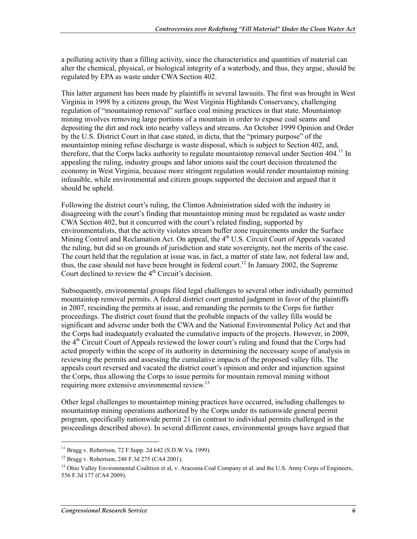a polluting activity than a filling activity, since the characteristics and quantities of material can alter the chemical, physical, or biological integrity of a waterbody, and thus, they argue, should be regulated by EPA as waste under CWA Section 402.

This latter argument has been made by plaintiffs in several lawsuits. The first was brought in West Virginia in 1998 by a citizens group, the West Virginia Highlands Conservancy, challenging regulation of "mountaintop removal" surface coal mining practices in that state. Mountaintop mining involves removing large portions of a mountain in order to expose coal seams and depositing the dirt and rock into nearby valleys and streams. An October 1999 Opinion and Order by the U.S. District Court in that case stated, in dicta, that the "primary purpose" of the mountaintop mining refuse discharge is waste disposal, which is subject to Section 402, and, therefore, that the Corps lacks authority to regulate mountaintop removal under Section 404.<sup>11</sup> In appealing the ruling, industry groups and labor unions said the court decision threatened the economy in West Virginia, because more stringent regulation would render mountaintop mining infeasible, while environmental and citizen groups supported the decision and argued that it should be upheld.

Following the district court's ruling, the Clinton Administration sided with the industry in disagreeing with the court's finding that mountaintop mining must be regulated as waste under CWA Section 402, but it concurred with the court's related finding, supported by environmentalists, that the activity violates stream buffer zone requirements under the Surface Mining Control and Reclamation Act. On appeal, the  $4<sup>th</sup>$  U.S. Circuit Court of Appeals vacated the ruling, but did so on grounds of jurisdiction and state sovereignty, not the merits of the case. The court held that the regulation at issue was, in fact, a matter of state law, not federal law and, thus, the case should not have been brought in federal court.<sup>12</sup> In January 2002, the Supreme Court declined to review the  $4<sup>th</sup>$  Circuit's decision.

Subsequently, environmental groups filed legal challenges to several other individually permitted mountaintop removal permits. A federal district court granted judgment in favor of the plaintiffs in 2007, rescinding the permits at issue, and remanding the permits to the Corps for further proceedings. The district court found that the probable impacts of the valley fills would be significant and adverse under both the CWA and the National Environmental Policy Act and that the Corps had inadequately evaluated the cumulative impacts of the projects. However, in 2009, the 4<sup>th</sup> Circuit Court of Appeals reviewed the lower court's ruling and found that the Corps had acted properly within the scope of its authority in determining the necessary scope of analysis in reviewing the permits and assessing the cumulative impacts of the proposed valley fills. The appeals court reversed and vacated the district court's opinion and order and injunction against the Corps, thus allowing the Corps to issue permits for mountain removal mining without requiring more extensive environmental review.<sup>13</sup>

Other legal challenges to mountaintop mining practices have occurred, including challenges to mountaintop mining operations authorized by the Corps under its nationwide general permit program, specifically nationwide permit 21 (in contrast to individual permits challenged in the proceedings described above). In several different cases, environmental groups have argued that

 $11$  Bragg v. Robertson, 72 F. Supp. 2d 642 (S.D.W.Va. 1999).

<sup>12</sup> Bragg v. Robertson, 248 F.3d 275 (CA4 2001).

<sup>&</sup>lt;sup>13</sup> Ohio Valley Environmental Coalition et al, v. Aracoma Coal Company et al, and the U.S. Army Corps of Engineers, 556 F.3d 177 (CA4 2009).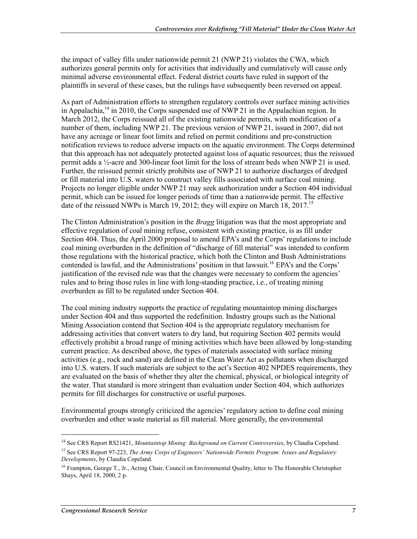the impact of valley fills under nationwide permit 21 (NWP 21) violates the CWA, which authorizes general permits only for activities that individually and cumulatively will cause only minimal adverse environmental effect. Federal district courts have ruled in support of the plaintiffs in several of these cases, but the rulings have subsequently been reversed on appeal.

As part of Administration efforts to strengthen regulatory controls over surface mining activities in Appalachia,<sup>14</sup> in 2010, the Corps suspended use of NWP 21 in the Appalachian region. In March 2012, the Corps reissued all of the existing nationwide permits, with modification of a number of them, including NWP 21. The previous version of NWP 21, issued in 2007, did not have any acreage or linear foot limits and relied on permit conditions and pre-construction notification reviews to reduce adverse impacts on the aquatic environment. The Corps determined that this approach has not adequately protected against loss of aquatic resources; thus the reissued permit adds a ½-acre and 300-linear foot limit for the loss of stream beds when NWP 21 is used. Further, the reissued permit strictly prohibits use of NWP 21 to authorize discharges of dredged or fill material into U.S. waters to construct valley fills associated with surface coal mining. Projects no longer eligible under NWP 21 may seek authorization under a Section 404 individual permit, which can be issued for longer periods of time than a nationwide permit. The effective date of the reissued NWPs is March 19, 2012; they will expire on March 18, 2017.<sup>15</sup>

The Clinton Administration's position in the *Bragg* litigation was that the most appropriate and effective regulation of coal mining refuse, consistent with existing practice, is as fill under Section 404. Thus, the April 2000 proposal to amend EPA's and the Corps' regulations to include coal mining overburden in the definition of "discharge of fill material" was intended to conform those regulations with the historical practice, which both the Clinton and Bush Administrations contended is lawful, and the Administrations' position in that lawsuit.<sup>16</sup> EPA's and the Corps' justification of the revised rule was that the changes were necessary to conform the agencies' rules and to bring those rules in line with long-standing practice, i.e., of treating mining overburden as fill to be regulated under Section 404.

The coal mining industry supports the practice of regulating mountaintop mining discharges under Section 404 and thus supported the redefinition. Industry groups such as the National Mining Association contend that Section 404 is the appropriate regulatory mechanism for addressing activities that convert waters to dry land, but requiring Section 402 permits would effectively prohibit a broad range of mining activities which have been allowed by long-standing current practice. As described above, the types of materials associated with surface mining activities (e.g., rock and sand) are defined in the Clean Water Act as pollutants when discharged into U.S. waters. If such materials are subject to the act's Section 402 NPDES requirements, they are evaluated on the basis of whether they alter the chemical, physical, or biological integrity of the water. That standard is more stringent than evaluation under Section 404, which authorizes permits for fill discharges for constructive or useful purposes.

Environmental groups strongly criticized the agencies' regulatory action to define coal mining overburden and other waste material as fill material. More generally, the environmental

<sup>14</sup> See CRS Report RS21421, *Mountaintop Mining: Background on Current Controversies*, by Claudia Copeland.

<sup>15</sup> See CRS Report 97-223, *The Army Corps of Engineers' Nationwide Permits Program: Issues and Regulatory Developments*, by Claudia Copeland.

<sup>&</sup>lt;sup>16</sup> Frampton, George T., Jr., Acting Chair, Council on Environmental Quality, letter to The Honorable Christopher Shays, April 18, 2000, 2 p.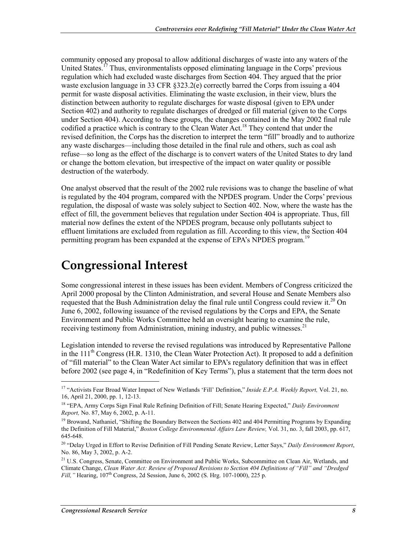community opposed any proposal to allow additional discharges of waste into any waters of the United States.<sup>17</sup> Thus, environmentalists opposed eliminating language in the Corps' previous regulation which had excluded waste discharges from Section 404. They argued that the prior waste exclusion language in 33 CFR §323.2(e) correctly barred the Corps from issuing a 404 permit for waste disposal activities. Eliminating the waste exclusion, in their view, blurs the distinction between authority to regulate discharges for waste disposal (given to EPA under Section 402) and authority to regulate discharges of dredged or fill material (given to the Corps under Section 404). According to these groups, the changes contained in the May 2002 final rule codified a practice which is contrary to the Clean Water Act.<sup>18</sup> They contend that under the revised definition, the Corps has the discretion to interpret the term "fill" broadly and to authorize any waste discharges—including those detailed in the final rule and others, such as coal ash refuse—so long as the effect of the discharge is to convert waters of the United States to dry land or change the bottom elevation, but irrespective of the impact on water quality or possible destruction of the waterbody.

One analyst observed that the result of the 2002 rule revisions was to change the baseline of what is regulated by the 404 program, compared with the NPDES program. Under the Corps' previous regulation, the disposal of waste was solely subject to Section 402. Now, where the waste has the effect of fill, the government believes that regulation under Section 404 is appropriate. Thus, fill material now defines the extent of the NPDES program, because only pollutants subject to effluent limitations are excluded from regulation as fill. According to this view, the Section 404 permitting program has been expanded at the expense of EPA's NPDES program.<sup>19</sup>

#### **Congressional Interest**

Some congressional interest in these issues has been evident. Members of Congress criticized the April 2000 proposal by the Clinton Administration, and several House and Senate Members also requested that the Bush Administration delay the final rule until Congress could review it.<sup>20</sup> On June 6, 2002, following issuance of the revised regulations by the Corps and EPA, the Senate Environment and Public Works Committee held an oversight hearing to examine the rule, receiving testimony from Administration, mining industry, and public witnesses.<sup>21</sup>

Legislation intended to reverse the revised regulations was introduced by Representative Pallone in the  $111<sup>th</sup>$  Congress (H.R. 1310, the Clean Water Protection Act). It proposed to add a definition of "fill material" to the Clean Water Act similar to EPA's regulatory definition that was in effect before 2002 (see page 4, in "Redefinition of Key Terms"), plus a statement that the term does not

<sup>17 &</sup>quot;Activists Fear Broad Water Impact of New Wetlands 'Fill' Definition," *Inside E.P.A. Weekly Report,* Vol. 21, no. 16, April 21, 2000, pp. 1, 12-13.

<sup>18 &</sup>quot;EPA, Army Corps Sign Final Rule Refining Definition of Fill; Senate Hearing Expected," *Daily Environment Report,* No. 87, May 6, 2002, p. A-11.

<sup>&</sup>lt;sup>19</sup> Browand, Nathaniel, "Shifting the Boundary Between the Sections 402 and 404 Permitting Programs by Expanding the Definition of Fill Material," *Boston College Environmental Affairs Law Review,* Vol. 31, no. 3, fall 2003, pp. 617, 645-648.

<sup>20 &</sup>quot;Delay Urged in Effort to Revise Definition of Fill Pending Senate Review, Letter Says," *Daily Environment Report*, No. 86, May 3, 2002, p. A-2.

<sup>&</sup>lt;sup>21</sup> U.S. Congress, Senate, Committee on Environment and Public Works, Subcommittee on Clean Air, Wetlands, and Climate Change, *Clean Water Act: Review of Proposed Revisions to Section 404 Definitions of "Fill" and "Dredged Fill,"* Hearing, 107<sup>th</sup> Congress, 2d Session, June 6, 2002 (S. Hrg. 107-1000), 225 p.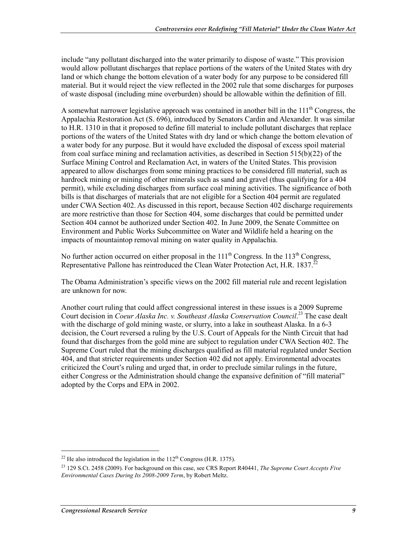include "any pollutant discharged into the water primarily to dispose of waste." This provision would allow pollutant discharges that replace portions of the waters of the United States with dry land or which change the bottom elevation of a water body for any purpose to be considered fill material. But it would reject the view reflected in the 2002 rule that some discharges for purposes of waste disposal (including mine overburden) should be allowable within the definition of fill.

A somewhat narrower legislative approach was contained in another bill in the 111<sup>th</sup> Congress, the Appalachia Restoration Act (S. 696), introduced by Senators Cardin and Alexander. It was similar to H.R. 1310 in that it proposed to define fill material to include pollutant discharges that replace portions of the waters of the United States with dry land or which change the bottom elevation of a water body for any purpose. But it would have excluded the disposal of excess spoil material from coal surface mining and reclamation activities, as described in Section 515(b)(22) of the Surface Mining Control and Reclamation Act, in waters of the United States. This provision appeared to allow discharges from some mining practices to be considered fill material, such as hardrock mining or mining of other minerals such as sand and gravel (thus qualifying for a 404 permit), while excluding discharges from surface coal mining activities. The significance of both bills is that discharges of materials that are not eligible for a Section 404 permit are regulated under CWA Section 402. As discussed in this report, because Section 402 discharge requirements are more restrictive than those for Section 404, some discharges that could be permitted under Section 404 cannot be authorized under Section 402. In June 2009, the Senate Committee on Environment and Public Works Subcommittee on Water and Wildlife held a hearing on the impacts of mountaintop removal mining on water quality in Appalachia.

No further action occurred on either proposal in the  $111<sup>th</sup>$  Congress. In the  $113<sup>th</sup>$  Congress, Representative Pallone has reintroduced the Clean Water Protection Act, H.R. 1837.<sup>22</sup>

The Obama Administration's specific views on the 2002 fill material rule and recent legislation are unknown for now.

Another court ruling that could affect congressional interest in these issues is a 2009 Supreme Court decision in *Coeur Alaska Inc. v. Southeast Alaska Conservation Council*.<sup>23</sup> The case dealt with the discharge of gold mining waste, or slurry, into a lake in southeast Alaska. In a 6-3 decision, the Court reversed a ruling by the U.S. Court of Appeals for the Ninth Circuit that had found that discharges from the gold mine are subject to regulation under CWA Section 402. The Supreme Court ruled that the mining discharges qualified as fill material regulated under Section 404, and that stricter requirements under Section 402 did not apply. Environmental advocates criticized the Court's ruling and urged that, in order to preclude similar rulings in the future, either Congress or the Administration should change the expansive definition of "fill material" adopted by the Corps and EPA in 2002.

 $22$  He also introduced the legislation in the 112<sup>th</sup> Congress (H.R. 1375).

<sup>23 129</sup> S.Ct. 2458 (2009). For background on this case, see CRS Report R40441, *The Supreme Court Accepts Five Environmental Cases During Its 2008-2009 Term*, by Robert Meltz.